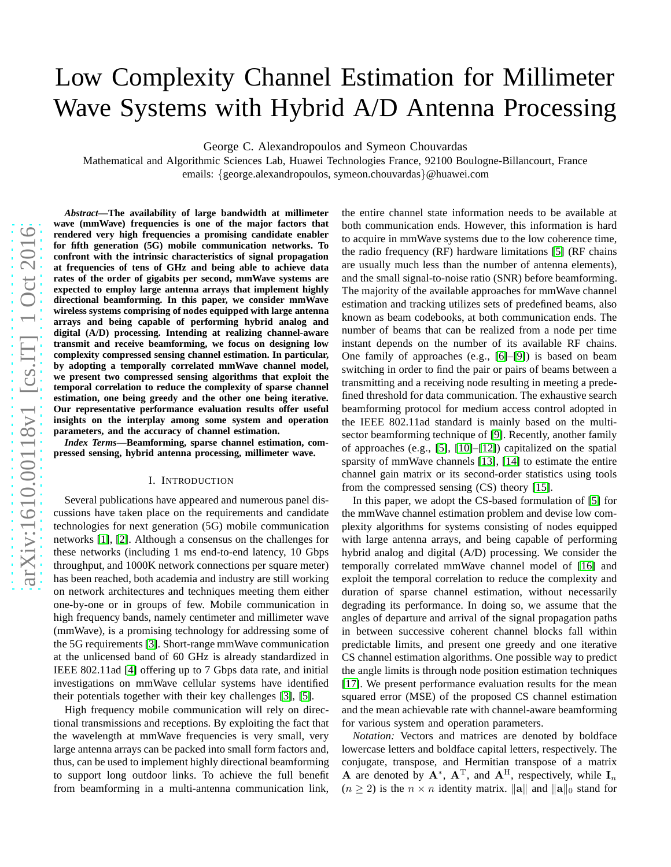# Low Complexity Channel Estimation for Millimeter Wave Systems with Hybrid A/D Antenna Processing

George C. Alexandropoulos and Symeon Chouvardas

Mathematical and Algorithmic Sciences Lab, Huawei Technologies France, 92100 Boulogne-Billancourt, France emails: {george.alexandropoulos, symeon.chouvardas }@huawei.com

*Abstract***—The availability of large bandwidth at millimeter wave (mmWave) frequencies is one of the major factors that rendered very high frequencies a promising candidate enabler for fifth generation (5G) mobile communication networks. To confront with the intrinsic characteristics of signal propagation at frequencies of tens of GHz and being able to achieve data rates of the order of gigabits per second, mmWave systems are expected to employ large antenna arrays that implement highly directional beamforming. In this paper, we consider mmWave wireless systems comprising of nodes equipped with large antenna arrays and being capable of performing hybrid analog and digital (A/D) processing. Intending at realizing channel-aware transmit and receive beamforming, we focus on designing low complexity compressed sensing channel estimation. In particular, by adopting a temporally correlated mmWave channel model, we present two compressed sensing algorithms that exploit the temporal correlation to reduce the complexity of sparse channel estimation, one being greedy and the other one being iterative. Our representative performance evaluation results offer useful insights on the interplay among some system and operation parameters, and the accuracy of channel estimation.**

*Index Terms***—Beamforming, sparse channel estimation, compressed sensing, hybrid antenna processing, millimeter wave.**

## I. INTRODUCTION

Several publications have appeared and numerous panel discussions have taken place on the requirements and candidate technologies for next generation (5G) mobile communicatio n networks [\[1\]](#page-5-0), [\[2\]](#page-5-1). Although a consensus on the challenges fo r these networks (including 1 ms end-to-end latency, 10 Gbps throughput, and 1000K network connections per square meter ) has been reached, both academia and industry are still working on network architectures and techniques meeting them eithe r one-by-one or in groups of few. Mobile communication in high frequency bands, namely centimeter and millimeter wav e (mmWave), is a promising technology for addressing some of the 5G requirements [\[3\]](#page-5-2). Short-range mmWave communication at the unlicensed band of 60 GHz is already standardized in IEEE 802.11ad [\[4\]](#page-5-3) offering up to 7 Gbps data rate, and initial investigations on mmWave cellular systems have identified their potentials together with their key challenges [\[3\]](#page-5-2), [\[5\]](#page-5-4).

High frequency mobile communication will rely on directional transmissions and receptions. By exploiting the fact that the wavelength at mmWave frequencies is very small, very large antenna arrays can be packed into small form factors and, thus, can be used to implement highly directional beamforming to support long outdoor links. To achieve the full benefit from beamforming in a multi-antenna communication link,

the entire channel state information needs to be available a t both communication ends. However, this information is hard to acquire in mmWave systems due to the low coherence time, the radio frequency (RF) hardware limitations [\[5\]](#page-5-4) (RF chain s are usually much less than the number of antenna elements), and the small signal-to-noise ratio (SNR) before beamforming. The majority of the available approaches for mmWave channel estimation and tracking utilizes sets of predefined beams, also known as beam codebooks, at both communication ends. The number of beams that can be realized from a node per time instant depends on the number of its available RF chains. One family of approaches (e . g ., [\[6\]](#page-5-5)–[\[9\]](#page-5-6)) is based on beam switching in order to find the pair or pairs of beams between a transmitting and a receiving node resulting in meeting a predefined threshold for data communication. The exhaustive search beamforming protocol for medium access control adopted in the IEEE 802.11ad standard is mainly based on the multisector beamforming technique of [\[9\]](#page-5-6). Recently, another family of approaches (e . g ., [\[5\]](#page-5-4), [\[10\]](#page-5-7)–[\[12\]](#page-5-8)) capitalized on the spatial sparsity of mmWave channels [\[13\]](#page-5-9), [\[14\]](#page-5-10) to estimate the entir e channel gain matrix or its second-order statistics using tools from the compressed sensing (CS) theory [\[15\]](#page-5-11).

In this paper, we adopt the CS-based formulation of [\[5\]](#page-5-4) for the mmWave channel estimation problem and devise low complexity algorithms for systems consisting of nodes equipped with large antenna arrays, and being capable of performing hybrid analog and digital (A/D) processing. We consider the temporally correlated mmWave channel model of [\[16\]](#page-5-12) and exploit the temporal correlation to reduce the complexity and duration of sparse channel estimation, without necessarily degrading its performance. In doing so, we assume that the angles of departure and arrival of the signal propagation paths in between successive coherent channel blocks fall within predictable limits, and present one greedy and one iterativ e CS channel estimation algorithms. One possible way to predict the angle limits is through node position estimation techniques [\[17\]](#page-5-13). We present performance evaluation results for the mea n squared error (MSE) of the proposed CS channel estimation and the mean achievable rate with channel-aware beamformin g for various system and operation parameters.

*Notation:* Vectors and matrices are denoted by boldface lowercase letters and boldface capital letters, respectively. The conjugate, transpose, and Hermitian transpose of a matrix A are denoted by  $A^*$ ,  $A^T$ , and  $A^H$ , respectively, while  $I_n$  $(n \geq 2)$  is the  $n \times n$  identity matrix. ||a|| and ||a||<sub>0</sub> stand for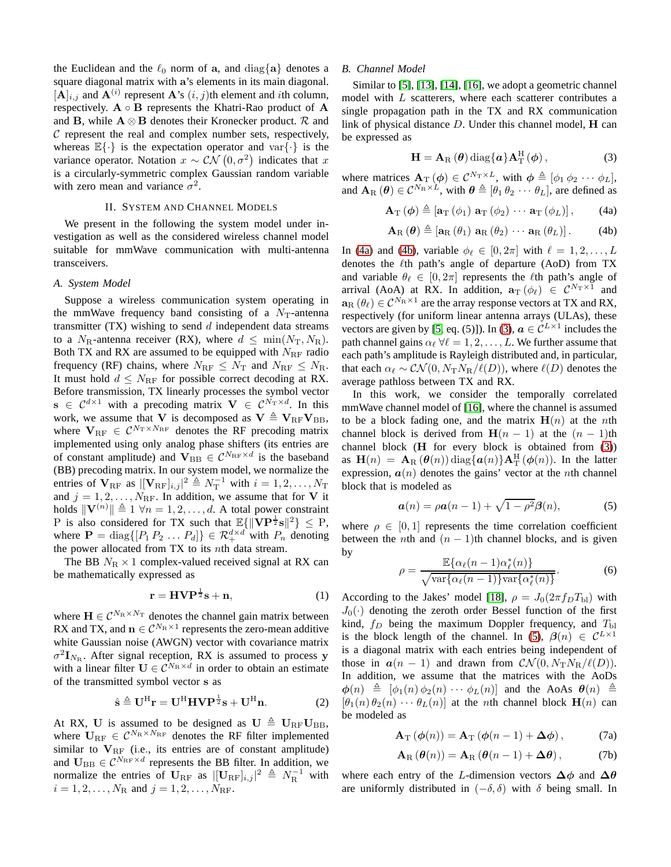the Euclidean and the  $\ell_0$  norm of a, and diag{a} denotes a square diagonal matrix with a's elements in its main diagonal.  $[A]_{i,j}$  and  $\mathbf{A}^{(i)}$  represent  $\mathbf{A}$ 's  $(i, j)$ th element and *i*th column, respectively.  $A \circ B$  represents the Khatri-Rao product of A and B, while  $A \otimes B$  denotes their Kronecker product. R and  $C$  represent the real and complex number sets, respectively, whereas  $\mathbb{E}\{\cdot\}$  is the expectation operator and var $\{\cdot\}$  is the variance operator. Notation  $x \sim \mathcal{CN}(0, \sigma^2)$  indicates that x is a circularly-symmetric complex Gaussian random variable with zero mean and variance  $\sigma^2$ .

## II. SYSTEM AND CHANNEL MODELS

We present in the following the system model under investigation as well as the considered wireless channel model suitable for mmWave communication with multi-antenna transceivers.

#### *A. System Model*

Suppose a wireless communication system operating in the mmWave frequency band consisting of a  $N<sub>T</sub>$ -antenna transmitter  $(TX)$  wishing to send  $d$  independent data streams to a  $N_{\rm R}$ -antenna receiver (RX), where  $d \leq \min(N_{\rm T}, N_{\rm R})$ . Both TX and RX are assumed to be equipped with  $N_{\text{RF}}$  radio frequency (RF) chains, where  $N_{\text{RF}} \leq N_{\text{T}}$  and  $N_{\text{RF}} \leq N_{\text{R}}$ . It must hold  $d \leq N_{\text{RF}}$  for possible correct decoding at RX. Before transmission, TX linearly processes the symbol vector  $\mathbf{s} \in C^{d \times 1}$  with a precoding matrix  $\mathbf{V} \in C^{N_{\text{T}} \times d}$ . In this work, we assume that V is decomposed as  $V \triangleq V_{RF}V_{BB}$ , where  $V_{RF} \in C^{N_T \times N_{RF}}$  denotes the RF precoding matrix implemented using only analog phase shifters (its entries are of constant amplitude) and  $V_{BB} \in C^{N_{RF} \times d}$  is the baseband (BB) precoding matrix. In our system model, we normalize the entries of  $V_{\text{RF}}$  as  $\vert [V_{\text{RF}}]_{i,j} \vert^2 \triangleq N_{\text{T}}^{-1}$  with  $i = 1, 2, ..., N_{\text{T}}$ and  $j = 1, 2, \ldots, N_{\text{RF}}$ . In addition, we assume that for V it holds  $\|\mathbf{V}^{(n)}\| \triangleq 1 \ \forall n = 1, 2, \dots, d$ . A total power constraint P is also considered for TX such that  $\mathbb{E}\{\|\mathbf{VP}^{\frac{1}{2}}\mathbf{s}\|^2\} \leq P$ , where  $\mathbf{P} = \text{diag}\{[P_1 P_2 \dots P_d]\} \in \mathcal{R}_+^{d \times d}$  with  $P_n$  denoting the power allocated from  $TX$  to its  $nth$  data stream.

The BB  $N_R \times 1$  complex-valued received signal at RX can be mathematically expressed as

$$
\mathbf{r} = \mathbf{H} \mathbf{V} \mathbf{P}^{\frac{1}{2}} \mathbf{s} + \mathbf{n},\tag{1}
$$

where  $\mathbf{H} \in \mathcal{C}^{N_{\mathrm{R}} \times N_{\mathrm{T}}}$  denotes the channel gain matrix between RX and TX, and  $\mathbf{n} \in \mathcal{C}^{N_{\mathrm{R}} \times 1}$  represents the zero-mean additive white Gaussian noise (AWGN) vector with covariance matrix  $\sigma^2 \mathbf{I}_{N_{\mathrm{R}}}$ . After signal reception, RX is assumed to process y with a linear filter  $\mathbf{U} \in \mathcal{C}^{N_{\mathrm{R}} \times d}$  in order to obtain an estimate of the transmitted symbol vector s as

<span id="page-1-4"></span>
$$
\hat{\mathbf{s}} \triangleq \mathbf{U}^{\mathrm{H}} \mathbf{r} = \mathbf{U}^{\mathrm{H}} \mathbf{H} \mathbf{V} \mathbf{P}^{\frac{1}{2}} \mathbf{s} + \mathbf{U}^{\mathrm{H}} \mathbf{n}.
$$
 (2)

At RX, U is assumed to be designed as  $\mathbf{U} \triangleq \mathbf{U}_{\text{RF}}\mathbf{U}_{\text{BB}}$ , where  $\mathbf{U}_{\text{RF}} \in \mathcal{C}^{N_{\text{R}} \times N_{\text{RF}}}$  denotes the RF filter implemented similar to  $V_{RF}$  (i.e., its entries are of constant amplitude) and  $U_{\text{BB}} \in \mathcal{C}^{N_{\text{RF}} \times d}$  represents the BB filter. In addition, we normalize the entries of  $U_{\text{RF}}$  as  $\left| \left[U_{\text{RF}} \right]_{i,j} \right|^{2} \triangleq N_{\text{R}}^{-1}$  with  $i = 1, 2, \dots, N_{\rm R}$  and  $j = 1, 2, \dots, N_{\rm RF}$ .

#### <span id="page-1-7"></span>*B. Channel Model*

Similar to [\[5\]](#page-5-4), [\[13\]](#page-5-9), [\[14\]](#page-5-10), [\[16\]](#page-5-12), we adopt a geometric channel model with L scatterers, where each scatterer contributes a single propagation path in the TX and RX communication link of physical distance  $D$ . Under this channel model,  $H$  can be expressed as

<span id="page-1-2"></span>
$$
\mathbf{H} = \mathbf{A}_{\mathrm{R}}\left(\boldsymbol{\theta}\right) \mathrm{diag}\{\boldsymbol{a}\} \mathbf{A}_{\mathrm{T}}^{\mathrm{H}}\left(\boldsymbol{\phi}\right),\tag{3}
$$

where matrices  $\mathbf{A}_{\mathrm{T}}(\boldsymbol{\phi}) \in \mathcal{C}^{N_{\mathrm{T}} \times L}$ , with  $\boldsymbol{\phi} \triangleq [\phi_1 \phi_2 \cdots \phi_L],$ and  $\mathbf{A}_{\text{R}}(\boldsymbol{\theta}) \in \mathcal{C}^{N_{\text{R}} \times L}$ , with  $\boldsymbol{\theta} \triangleq [\theta_1 \theta_2 \cdots \theta_L]$ , are defined as

<span id="page-1-0"></span>
$$
\mathbf{A}_{\mathrm{T}}\left(\boldsymbol{\phi}\right) \triangleq \left[\mathbf{a}_{\mathrm{T}}\left(\phi_{1}\right) \,\mathbf{a}_{\mathrm{T}}\left(\phi_{2}\right) \cdots \,\mathbf{a}_{\mathrm{T}}\left(\phi_{L}\right)\right],\qquad(4a)
$$

<span id="page-1-1"></span>
$$
\mathbf{A}_{\mathrm{R}}\left(\boldsymbol{\theta}\right) \triangleq \left[\mathbf{a}_{\mathrm{R}}\left(\theta_{1}\right) \,\mathbf{a}_{\mathrm{R}}\left(\theta_{2}\right) \,\cdots \,\mathbf{a}_{\mathrm{R}}\left(\theta_{L}\right)\right].\tag{4b}
$$

In [\(4a\)](#page-1-0) and [\(4b\)](#page-1-1), variable  $\phi_{\ell} \in [0, 2\pi]$  with  $\ell = 1, 2, \ldots, L$ denotes the  $\ell$ th path's angle of departure (AoD) from TX and variable  $\theta_{\ell} \in [0, 2\pi]$  represents the  $\ell$ th path's angle of arrival (AoA) at RX. In addition,  $\mathbf{a}_T(\phi_\ell) \in \mathcal{C}^{N_T \times 1}$  and  $\mathbf{a}_{\text{R}}\left(\theta_{\ell}\right) \in \mathcal{C}^{N_{\text{R}} \times 1}$  are the array response vectors at TX and RX, respectively (for uniform linear antenna arrays (ULAs), these vectors are given by [\[5,](#page-5-4) eq. (5)]). In [\(3\)](#page-1-2),  $\boldsymbol{a} \in \mathcal{C}^{L \times 1}$  includes the path channel gains  $\alpha_{\ell} \forall \ell = 1, 2, \ldots, L$ . We further assume that each path's amplitude is Rayleigh distributed and, in particular, that each  $\alpha_{\ell} \sim \mathcal{CN}(0, N_{\rm T}N_{\rm B}/\ell(D))$ , where  $\ell(D)$  denotes the average pathloss between TX and RX.

In this work, we consider the temporally correlated mmWave channel model of [\[16\]](#page-5-12), where the channel is assumed to be a block fading one, and the matrix  $H(n)$  at the *n*th channel block is derived from  $H(n - 1)$  at the  $(n - 1)$ th channel block  $(H$  for every block is obtained from  $(3)$ ) as  $\mathbf{H}(n) = \mathbf{A}_{\text{R}}(\boldsymbol{\theta}(n)) \text{diag}\{\boldsymbol{a}(n)\}\mathbf{A}_{\text{T}}^{\text{H}}(\boldsymbol{\phi}(n))$ . In the latter expression,  $a(n)$  denotes the gains' vector at the *n*th channel block that is modeled as

<span id="page-1-3"></span>
$$
\mathbf{a}(n) = \rho \mathbf{a}(n-1) + \sqrt{1 - \rho^2} \mathbf{\beta}(n), \tag{5}
$$

where  $\rho \in [0, 1]$  represents the time correlation coefficient between the *n*th and  $(n - 1)$ th channel blocks, and is given by ∗

$$
\rho = \frac{\mathbb{E}\{\alpha_{\ell}(n-1)\alpha_{\ell}^{*}(n)\}}{\sqrt{\text{var}\{\alpha_{\ell}(n-1)\}\text{var}\{\alpha_{\ell}^{*}(n)\}}}.
$$
(6)

According to the Jakes' model [\[18\]](#page-5-14),  $\rho = J_0(2\pi f_D T_{\text{bl}})$  with  $J_0(\cdot)$  denoting the zeroth order Bessel function of the first kind,  $f_D$  being the maximum Doppler frequency, and  $T_{\text{bl}}$ is the block length of the channel. In [\(5\)](#page-1-3),  $\beta(n) \in C^{L \times 1}$ is a diagonal matrix with each entries being independent of those in  $a(n - 1)$  and drawn from  $\mathcal{CN}(0, N_T N_R/\ell(D)).$ In addition, we assume that the matrices with the AoDs  $\phi(n) \triangleq [\phi_1(n) \phi_2(n) \cdots \phi_L(n)]$  and the AoAs  $\theta(n) \triangleq$  $[\theta_1(n) \theta_2(n) \cdots \theta_L(n)]$  at the *n*th channel block  $\mathbf{H}(n)$  can be modeled as

<span id="page-1-5"></span>
$$
\mathbf{A}_{\mathrm{T}}\left(\boldsymbol{\phi}(n)\right) = \mathbf{A}_{\mathrm{T}}\left(\boldsymbol{\phi}(n-1) + \boldsymbol{\Delta}\boldsymbol{\phi}\right),\tag{7a}
$$

<span id="page-1-6"></span>
$$
\mathbf{A}_{\mathrm{R}}\left(\boldsymbol{\theta}(n)\right) = \mathbf{A}_{\mathrm{R}}\left(\boldsymbol{\theta}(n-1) + \boldsymbol{\Delta\theta}\right),\tag{7b}
$$

where each entry of the L-dimension vectors  $\Delta \phi$  and  $\Delta \theta$ are uniformly distributed in  $(-\delta, \delta)$  with  $\delta$  being small. In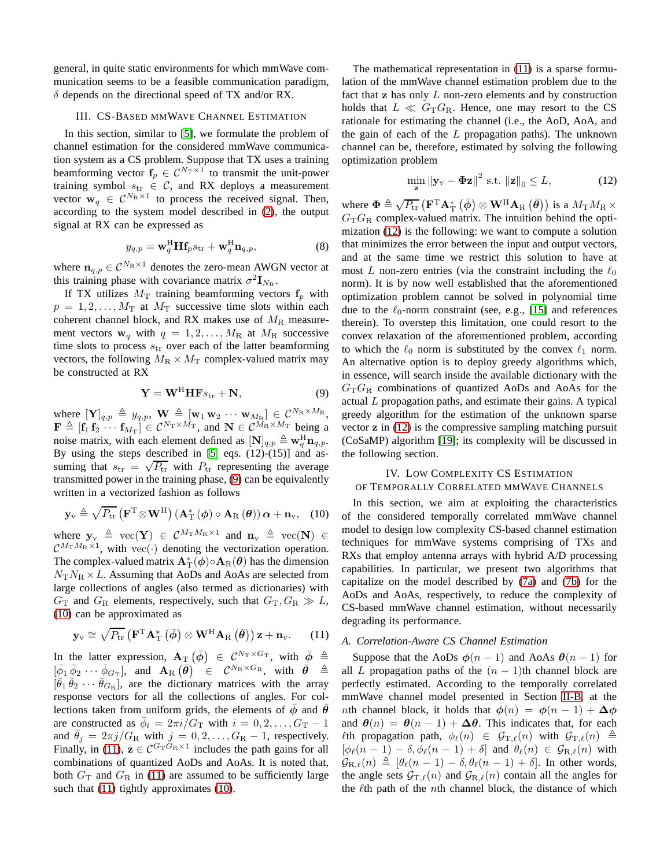general, in quite static environments for which mmWave communication seems to be a feasible communication paradigm,  $\delta$  depends on the directional speed of TX and/or RX.

## <span id="page-2-4"></span>III. CS-BASED MMWAVE CHANNEL ESTIMATION

In this section, similar to [\[5\]](#page-5-4), we formulate the problem of channel estimation for the considered mmWave communication system as a CS problem. Suppose that TX uses a training beamforming vector  $f_p \in C^{N_T \times 1}$  to transmit the unit-power training symbol  $s_{tr} \in C$ , and RX deploys a measurement vector  $\mathbf{w}_q \in C^{N_R \times 1}$  to process the received signal. Then, according to the system model described in [\(2\)](#page-1-4), the output signal at RX can be expressed as

$$
y_{q,p} = \mathbf{w}_q^{\mathrm{H}} \mathbf{H} \mathbf{f}_p s_{\mathrm{tr}} + \mathbf{w}_q^{\mathrm{H}} \mathbf{n}_{q,p},
$$
 (8)

where  $n_{q,p} \in \mathcal{C}^{N_R \times 1}$  denotes the zero-mean AWGN vector at this training phase with covariance matrix  $\sigma^2 \mathbf{I}_{N_{\mathrm{R}}}$ .

If TX utilizes  $M_T$  training beamforming vectors  $f_p$  with  $p = 1, 2, \ldots, M_{\rm T}$  at  $M_{\rm T}$  successive time slots within each coherent channel block, and RX makes use of  $M_R$  measurement vectors  $w_q$  with  $q = 1, 2, \ldots, M_R$  at  $M_R$  successive time slots to process  $s_{tr}$  over each of the latter beamforming vectors, the following  $M_R \times M_T$  complex-valued matrix may be constructed at RX

<span id="page-2-0"></span>
$$
\mathbf{Y} = \mathbf{W}^{\mathrm{H}} \mathbf{H} \mathbf{F} s_{\mathrm{tr}} + \mathbf{N},\tag{9}
$$

where  $[\mathbf{Y}]_{q,p} \triangleq y_{q,p}$ ,  $\mathbf{W} \triangleq [\mathbf{w}_1 \mathbf{w}_2 \cdots \mathbf{w}_{M_R}] \in \mathcal{C}^{N_R \times M_R}$ ,  $\mathbf{F} \triangleq [\mathbf{f}_1 \ \mathbf{f}_2 \ \cdots \ \mathbf{f}_{M_T}] \in \mathcal{C}^{N_T \times M_T}$ , and  $\mathbf{N} \in \mathcal{C}^{M_R \times M_T}$  being a noise matrix, with each element defined as  $[N]_{q,p} \triangleq \mathbf{w}_q^H \mathbf{n}_{q,p}$ . By using the steps described in  $[5, eqs. (12)-(15)]$  and assuming that  $s_{\text{tr}} = \sqrt{P_{\text{tr}}}$  with  $P_{\text{tr}}$  representing the average transmitted power in the training phase, [\(9\)](#page-2-0) can be equivalently written in a vectorized fashion as follows

<span id="page-2-1"></span>
$$
\mathbf{y}_{\mathrm{v}} \triangleq \sqrt{P_{\mathrm{tr}}}\left(\mathbf{F}^{\mathrm{T}} \otimes \mathbf{W}^{\mathrm{H}}\right) \left(\mathbf{A}_{\mathrm{T}}^{*}\left(\boldsymbol{\phi}\right) \circ \mathbf{A}_{\mathrm{R}}\left(\boldsymbol{\theta}\right)\right) \boldsymbol{\alpha} + \mathbf{n}_{\mathrm{v}}, \quad (10)
$$

where  $\mathbf{y}_{v} \triangleq \text{vec}(\mathbf{Y}) \in \mathcal{C}^{M_{\text{T}}M_{\text{R}} \times 1}$  and  $\mathbf{n}_{v} \triangleq \text{vec}(\mathbf{N}) \in$  $\mathcal{C}^{M_{\rm T} M_{\rm R} \times 1}$ , with vec(·) denoting the vectorization operation. The complex-valued matrix  $\mathbf{A}_{\mathrm{T}}^*(\boldsymbol{\phi}) \circ \mathbf{A}_{\mathrm{R}}(\boldsymbol{\theta})$  has the dimension  $N_T N_R \times L$ . Assuming that AoDs and AoAs are selected from large collections of angles (also termed as dictionaries) with  $G_T$  and  $G_R$  elements, respectively, such that  $G_T, G_R \gg L$ , [\(10\)](#page-2-1) can be approximated as

<span id="page-2-2"></span>
$$
\mathbf{y}_{\rm v} \cong \sqrt{P_{\rm tr}} \left( \mathbf{F}^{\rm T} \mathbf{A}_{\rm T}^* \left( \bar{\boldsymbol{\phi}} \right) \otimes \mathbf{W}^{\rm H} \mathbf{A}_{\rm R} \left( \bar{\boldsymbol{\theta}} \right) \right) \mathbf{z} + \mathbf{n}_{\rm v}.
$$
 (11)

In the latter expression,  $\mathbf{A}_{\mathrm{T}}(\bar{\phi}) \in \mathcal{C}^{N_{\mathrm{T}} \times G_{\mathrm{T}}}$ , with  $\bar{\phi} \triangleq$  $\left[\bar{\phi}_1 \, \bar{\phi}_2 \, \cdots \, \bar{\phi}_{G_{\mathrm{T}}}\right]$ , and  $\mathbf{A}_{\mathrm{R}}\left(\bar{\theta}\right)$   $\in$   $\mathcal{C}^{N_{\mathrm{R}} \times G_{\mathrm{R}}},$  with  $\bar{\theta}$   $\triangleq$  $[\bar{\theta}_1 \bar{\theta}_2 \cdots \bar{\theta}_{G_{\rm R}}]$ , are the dictionary matrices with the array response vectors for all the collections of angles. For collections taken from uniform grids, the elements of  $\overline{\phi}$  and  $\overline{\theta}$ are constructed as  $\bar{\phi}_i = 2\pi i / G_\text{T}$  with  $i = 0, 2, ..., G_\text{T} - 1$ and  $\theta_j = 2\pi j/G_R$  with  $j = 0, 2, ..., G_R - 1$ , respectively. Finally, in [\(11\)](#page-2-2),  $z \in C^{G_T \tilde{G}_R \times 1}$  includes the path gains for all combinations of quantized AoDs and AoAs. It is noted that, both  $G_T$  and  $G_R$  in [\(11\)](#page-2-2) are assumed to be sufficiently large such that [\(11\)](#page-2-2) tightly approximates [\(10\)](#page-2-1).

The mathematical representation in [\(11\)](#page-2-2) is a sparse formulation of the mmWave channel estimation problem due to the fact that  $z$  has only  $L$  non-zero elements and by construction holds that  $L \ll G_{\rm T} G_{\rm R}$ . Hence, one may resort to the CS rationale for estimating the channel (i.e., the AoD, AoA, and the gain of each of the  $L$  propagation paths). The unknown channel can be, therefore, estimated by solving the following optimization problem

<span id="page-2-3"></span>
$$
\min_{\mathbf{z}} \|\mathbf{y}_{\mathrm{v}} - \mathbf{\Phi}\mathbf{z}\|^2 \text{ s.t. } \|\mathbf{z}\|_0 \le L,\tag{12}
$$

where  $\mathbf{\Phi} \triangleq \sqrt{P_{\text{tr}}}\left(\mathbf{F}^{\text{T}}\mathbf{A}^*_{\text{T}}\left(\bar{\boldsymbol{\phi}}\right) \otimes \mathbf{W}^{\text{H}}\mathbf{A}_{\text{R}}\left(\bar{\boldsymbol{\theta}}\right)\right)$  is a  $M_{\text{T}}M_{\text{R}} \times$  $G_{\rm T}G_{\rm R}$  complex-valued matrix. The intuition behind the optimization [\(12\)](#page-2-3) is the following: we want to compute a solution that minimizes the error between the input and output vectors, and at the same time we restrict this solution to have at most L non-zero entries (via the constraint including the  $\ell_0$ norm). It is by now well established that the aforementioned optimization problem cannot be solved in polynomial time due to the  $\ell_0$ -norm constraint (see, e.g., [\[15\]](#page-5-11) and references therein). To overstep this limitation, one could resort to the convex relaxation of the aforementioned problem, according to which the  $\ell_0$  norm is substituted by the convex  $\ell_1$  norm. An alternative option is to deploy greedy algorithms which, in essence, will search inside the available dictionary with the  $G_{\rm T}G_{\rm R}$  combinations of quantized AoDs and AoAs for the actual  $L$  propagation paths, and estimate their gains. A typical greedy algorithm for the estimation of the unknown sparse vector z in [\(12\)](#page-2-3) is the compressive sampling matching pursuit (CoSaMP) algorithm [\[19\]](#page-5-15); its complexity will be discussed in the following section.

## <span id="page-2-5"></span>IV. LOW COMPLEXITY CS ESTIMATION OF TEMPORALLY CORRELATED MMWAVE CHANNELS

In this section, we aim at exploiting the characteristics of the considered temporally correlated mmWave channel model to design low complexity CS-based channel estimation techniques for mmWave systems comprising of TXs and RXs that employ antenna arrays with hybrid A/D processing capabilities. In particular, we present two algorithms that capitalize on the model described by [\(7a\)](#page-1-5) and [\(7b\)](#page-1-6) for the AoDs and AoAs, respectively, to reduce the complexity of CS-based mmWave channel estimation, without necessarily degrading its performance.

## *A. Correlation-Aware CS Channel Estimation*

Suppose that the AoDs  $\phi(n-1)$  and AoAs  $\theta(n-1)$  for all L propagation paths of the  $(n - 1)$ th channel block are perfectly estimated. According to the temporally correlated mmWave channel model presented in Section [II-B,](#page-1-7) at the nth channel block, it holds that  $\phi(n) = \phi(n-1) + \Delta \phi$ and  $\theta(n) = \theta(n-1) + \Delta\theta$ . This indicates that, for each  $\ell$ th propagation path,  $\phi_{\ell}(n) \in \mathcal{G}_{T,\ell}(n)$  with  $\mathcal{G}_{T,\ell}(n) \triangleq$  $[\phi_{\ell}(n-1)-\delta, \phi_{\ell}(n-1)+\delta]$  and  $\theta_{\ell}(n) \in \mathcal{G}_{R,\ell}(n)$  with  $\mathcal{G}_{\text{R},\ell}(n) \triangleq [\theta_{\ell}(n-1) - \delta, \theta_{\ell}(n-1) + \delta].$  In other words, the angle sets  $G_{T,\ell}(n)$  and  $G_{R,\ell}(n)$  contain all the angles for the  $\ell$ th path of the *n*th channel block, the distance of which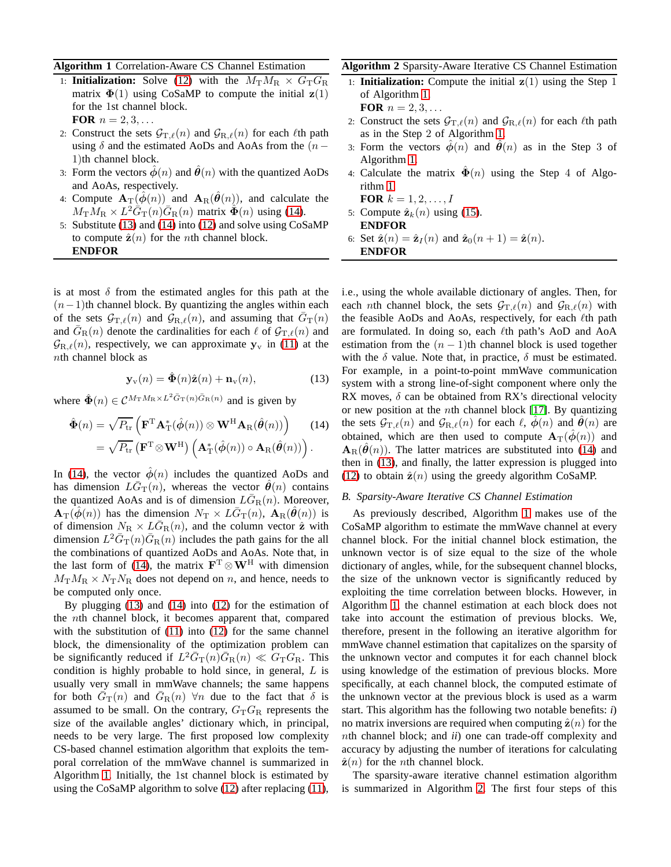## <span id="page-3-2"></span>**Algorithm 1** Correlation-Aware CS Channel Estimation

- 1: **Initialization:** Solve [\(12\)](#page-2-3) with the  $M_{\text{T}}M_{\text{R}} \times G_{\text{T}}G_{\text{R}}$ matrix  $\Phi(1)$  using CoSaMP to compute the initial  $z(1)$ for the 1st channel block. **FOR**  $n = 2, 3, ...$
- 2: Construct the sets  $G_{T,\ell}(n)$  and  $G_{R,\ell}(n)$  for each  $\ell$ th path using  $\delta$  and the estimated AoDs and AoAs from the (n − 1)th channel block.
- 3: Form the vectors  $\phi(n)$  and  $\dot{\theta}(n)$  with the quantized AoDs and AoAs, respectively.
- 4: Compute  $\mathbf{A}_{\mathrm{T}}(\phi(n))$  and  $\mathbf{A}_{\mathrm{R}}(\theta(n))$ , and calculate the  $M_{\rm T} M_{\rm R} \times L^2 \tilde{G}_{\rm T}(n) \bar{G}_{\rm R}(n)$  matrix  $\tilde{\Phi}(n)$  using [\(14\)](#page-3-0).
- 5: Substitute [\(13\)](#page-3-1) and [\(14\)](#page-3-0) into [\(12\)](#page-2-3) and solve using CoSaMP to compute  $\hat{\mathbf{z}}(n)$  for the *n*th channel block. **ENDFOR**

is at most  $\delta$  from the estimated angles for this path at the  $(n-1)$ th channel block. By quantizing the angles within each of the sets  $G_{\text{T},\ell}(n)$  and  $G_{\text{R},\ell}(n)$ , and assuming that  $G_{\text{T}}(n)$ and  $\bar{G}_{\rm R}(n)$  denote the cardinalities for each  $\ell$  of  $\mathcal{G}_{\rm T,\ell}(n)$  and  $\mathcal{G}_{R,\ell}(n)$ , respectively, we can approximate  $y_v$  in [\(11\)](#page-2-2) at the nth channel block as

<span id="page-3-1"></span>
$$
\mathbf{y}_{\mathbf{v}}(n) = \hat{\mathbf{\Phi}}(n)\hat{\mathbf{z}}(n) + \mathbf{n}_{\mathbf{v}}(n),
$$
 (13)

where  $\hat{\Phi}(n) \in \mathcal{C}^{M_{\text{T}} M_{\text{R}} \times L^2 \bar{G}_{\text{T}}(n) \bar{G}_{\text{R}}(n)}$  and is given by

$$
\hat{\Phi}(n) = \sqrt{P_{\rm tr}} \left( \mathbf{F}^{\rm T} \mathbf{A}_{\rm T}^* (\hat{\phi}(n)) \otimes \mathbf{W}^{\rm H} \mathbf{A}_{\rm R} (\hat{\theta}(n)) \right) \tag{14}
$$
\n
$$
= \sqrt{P_{\rm tr}} \left( \mathbf{F}^{\rm T} \otimes \mathbf{W}^{\rm H} \right) \left( \mathbf{A}_{\rm T}^* (\hat{\phi}(n)) \circ \mathbf{A}_{\rm R} (\hat{\theta}(n)) \right).
$$

In [\(14\)](#page-3-0), the vector  $\phi(n)$  includes the quantized AoDs and has dimension  $L\bar{G}_{\rm T}(n)$ , whereas the vector  $\hat{\theta}(n)$  contains the quantized AoAs and is of dimension  $LG_R(n)$ . Moreover,  $\mathbf{A}_{\mathrm{T}}(\hat{\phi}(n))$  has the dimension  $N_{\mathrm{T}} \times L\bar{G}_{\mathrm{T}}(n)$ ,  $\mathbf{A}_{\mathrm{R}}(\hat{\theta}(n))$  is of dimension  $N_R \times L\bar{G}_R(n)$ , and the column vector  $\hat{\mathbf{z}}$  with dimension  $L^2 \bar{G}_{T}(n) \bar{G}_{R}(n)$  includes the path gains for the all the combinations of quantized AoDs and AoAs. Note that, in the last form of [\(14\)](#page-3-0), the matrix  $\mathbf{F}^T \otimes \mathbf{W}^H$  with dimension  $M_{\rm T}M_{\rm R} \times N_{\rm T}N_{\rm R}$  does not depend on n, and hence, needs to be computed only once.

By plugging [\(13\)](#page-3-1) and [\(14\)](#page-3-0) into [\(12\)](#page-2-3) for the estimation of the nth channel block, it becomes apparent that, compared with the substitution of [\(11\)](#page-2-2) into [\(12\)](#page-2-3) for the same channel block, the dimensionality of the optimization problem can be significantly reduced if  $L^2 \bar{G}_T(n) \bar{G}_R(n) \ll G_T G_R$ . This condition is highly probable to hold since, in general,  $L$  is usually very small in mmWave channels; the same happens for both  $\bar{G}_{\rm T}(n)$  and  $\bar{G}_{\rm R}(n)$   $\forall n$  due to the fact that  $\delta$  is assumed to be small. On the contrary,  $G_{\rm T}G_{\rm R}$  represents the size of the available angles' dictionary which, in principal, needs to be very large. The first proposed low complexity CS-based channel estimation algorithm that exploits the temporal correlation of the mmWave channel is summarized in Algorithm [1.](#page-3-2) Initially, the 1st channel block is estimated by using the CoSaMP algorithm to solve [\(12\)](#page-2-3) after replacing [\(11\)](#page-2-2),

## <span id="page-3-3"></span>**Algorithm 2** Sparsity-Aware Iterative CS Channel Estimation

- 1: **Initialization:** Compute the initial  $z(1)$  using the Step 1 of Algorithm [1.](#page-3-2) **FOR**  $n = 2, 3, ...$
- 2: Construct the sets  $G_{\text{T},\ell}(n)$  and  $G_{\text{R},\ell}(n)$  for each  $\ell$ th path as in the Step 2 of Algorithm [1.](#page-3-2)
- 3: Form the vectors  $\phi(n)$  and  $\dot{\theta}(n)$  as in the Step 3 of Algorithm [1.](#page-3-2)
- 4: Calculate the matrix  $\mathbf{\Phi}(n)$  using the Step 4 of Algorithm [1.](#page-3-2)

**FOR**  $k = 1, 2, ..., I$ 5: Compute  $\hat{\mathbf{z}}_k(n)$  using [\(15\)](#page-4-0).

- **ENDFOR**
- 6: Set  $\hat{\mathbf{z}}(n) = \hat{\mathbf{z}}_I(n)$  and  $\hat{\mathbf{z}}_0(n+1) = \hat{\mathbf{z}}(n)$ . **ENDFOR**

i.e., using the whole available dictionary of angles. Then, for each *n*th channel block, the sets  $G_{T,\ell}(n)$  and  $G_{R,\ell}(n)$  with the feasible AoDs and AoAs, respectively, for each *ℓth* path are formulated. In doing so, each  $\ell$ th path's AoD and AoA estimation from the  $(n - 1)$ th channel block is used together with the  $\delta$  value. Note that, in practice,  $\delta$  must be estimated. For example, in a point-to-point mmWave communication system with a strong line-of-sight component where only the RX moves,  $\delta$  can be obtained from RX's directional velocity or new position at the *n*th channel block [\[17\]](#page-5-13). By quantizing the sets  $G_{T,\ell}(n)$  and  $G_{R,\ell}(n)$  for each  $\ell$ ,  $\phi(n)$  and  $\theta(n)$  are obtained, which are then used to compute  $\mathbf{A}_{\mathrm{T}}(\phi(n))$  and  $\mathbf{A}_{\text{R}}(\hat{\theta}(n))$ . The latter matrices are substituted into [\(14\)](#page-3-0) and then in [\(13\)](#page-3-1), and finally, the latter expression is plugged into [\(12\)](#page-2-3) to obtain  $\hat{\mathbf{z}}(n)$  using the greedy algorithm CoSaMP.

#### <span id="page-3-0"></span>*B. Sparsity-Aware Iterative CS Channel Estimation*

As previously described, Algorithm [1](#page-3-2) makes use of the CoSaMP algorithm to estimate the mmWave channel at every channel block. For the initial channel block estimation, the unknown vector is of size equal to the size of the whole dictionary of angles, while, for the subsequent channel blocks, the size of the unknown vector is significantly reduced by exploiting the time correlation between blocks. However, in Algorithm [1,](#page-3-2) the channel estimation at each block does not take into account the estimation of previous blocks. We, therefore, present in the following an iterative algorithm for mmWave channel estimation that capitalizes on the sparsity of the unknown vector and computes it for each channel block using knowledge of the estimation of previous blocks. More specifically, at each channel block, the computed estimate of the unknown vector at the previous block is used as a warm start. This algorithm has the following two notable benefits: *i*) no matrix inversions are required when computing  $\hat{\mathbf{z}}(n)$  for the nth channel block; and *ii*) one can trade-off complexity and accuracy by adjusting the number of iterations for calculating  $\hat{\mathbf{z}}(n)$  for the *n*th channel block.

The sparsity-aware iterative channel estimation algorithm is summarized in Algorithm [2.](#page-3-3) The first four steps of this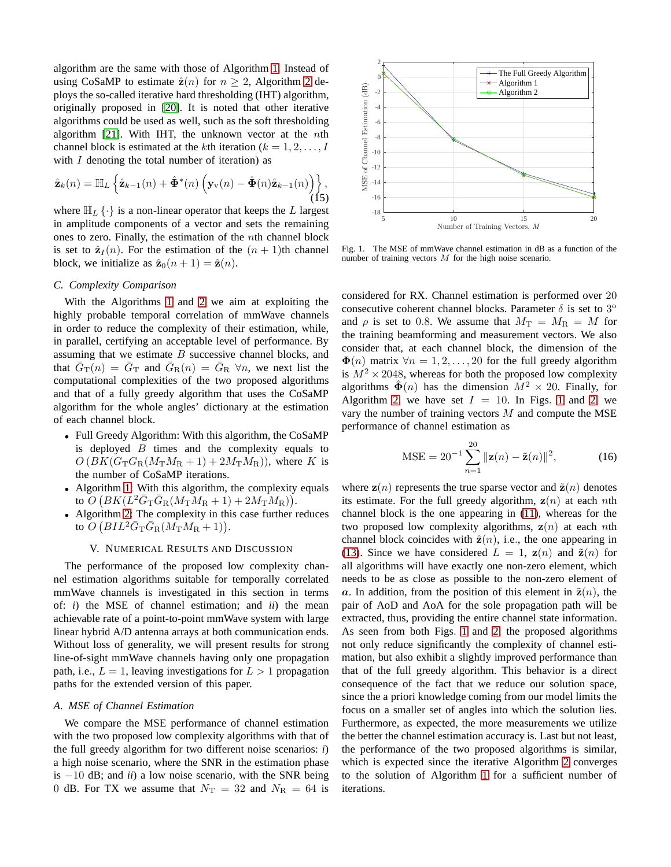algorithm are the same with those of Algorithm [1.](#page-3-2) Instead of using CoSaMP to estimate  $\hat{\mathbf{z}}(n)$  for  $n \geq 2$  $n \geq 2$ , Algorithm 2 deploys the so-called iterative hard thresholding (IHT) algorithm, originally proposed in [\[20\]](#page-5-16). It is noted that other iterative algorithms could be used as well, such as the soft thresholding algorithm [\[21\]](#page-5-17). With IHT, the unknown vector at the *n*th channel block is estimated at the kth iteration ( $k = 1, 2, \ldots, I$ with  $I$  denoting the total number of iteration) as

<span id="page-4-0"></span>
$$
\hat{\mathbf{z}}_k(n) = \mathbb{H}_L \left\{ \hat{\mathbf{z}}_{k-1}(n) + \hat{\mathbf{\Phi}}^*(n) \left( \mathbf{y}_{\mathbf{v}}(n) - \hat{\mathbf{\Phi}}(n) \hat{\mathbf{z}}_{k-1}(n) \right) \right\},\tag{15}
$$

where  $\mathbb{H}_L \{\cdot\}$  is a non-linear operator that keeps the L largest in amplitude components of a vector and sets the remaining ones to zero. Finally, the estimation of the nth channel block is set to  $\hat{\mathbf{z}}_I(n)$ . For the estimation of the  $(n + 1)$ th channel block, we initialize as  $\hat{\mathbf{z}}_0(n+1) = \hat{\mathbf{z}}(n)$ .

#### *C. Complexity Comparison*

With the Algorithms [1](#page-3-2) and [2](#page-3-3) we aim at exploiting the highly probable temporal correlation of mmWave channels in order to reduce the complexity of their estimation, while, in parallel, certifying an acceptable level of performance. By assuming that we estimate  $B$  successive channel blocks, and that  $\overline{G}_{\rm T}(n) = \overline{G}_{\rm T}$  and  $\overline{G}_{\rm R}(n) = \overline{G}_{\rm R}$   $\forall n$ , we next list the computational complexities of the two proposed algorithms and that of a fully greedy algorithm that uses the CoSaMP algorithm for the whole angles' dictionary at the estimation of each channel block.

- Full Greedy Algorithm: With this algorithm, the CoSaMP is deployed  $B$  times and the complexity equals to  $O(BK(G_{\text{T}}G_{\text{R}}(M_{\text{T}}M_{\text{R}}+1)+2M_{\text{T}}M_{\text{R}}))$ , where K is the number of CoSaMP iterations.
- Algorithm [1:](#page-3-2) With this algorithm, the complexity equals to  $\overline{O}\left(BK(L^2\bar{G}_{\rm T}\bar{G}_{\rm R}(M_{\rm T}M_{\rm R}+1)+2M_{\rm T}M_{\rm R})\right)$ .
- Algorithm [2:](#page-3-3) The complexity in this case further reduces to  $\overline{O}\left(BIL^2\bar{G}_{\rm T}\bar{G}_{\rm R}(M_{\rm T}M_{\rm R}+1)\right)$ .

## V. NUMERICAL RESULTS AND DISCUSSION

The performance of the proposed low complexity channel estimation algorithms suitable for temporally correlated mmWave channels is investigated in this section in terms of: *i*) the MSE of channel estimation; and *ii*) the mean achievable rate of a point-to-point mmWave system with large linear hybrid A/D antenna arrays at both communication ends. Without loss of generality, we will present results for strong line-of-sight mmWave channels having only one propagation path, i.e.,  $L = 1$ , leaving investigations for  $L > 1$  propagation paths for the extended version of this paper.

## *A. MSE of Channel Estimation*

We compare the MSE performance of channel estimation with the two proposed low complexity algorithms with that of the full greedy algorithm for two different noise scenarios: *i*) a high noise scenario, where the SNR in the estimation phase is −10 dB; and *ii*) a low noise scenario, with the SNR being 0 dB. For TX we assume that  $N_T = 32$  and  $N_R = 64$  is



<span id="page-4-1"></span>Fig. 1. The MSE of mmWave channel estimation in dB as a function of the number of training vectors M for the high noise scenario.

considered for RX. Channel estimation is performed over 20 consecutive coherent channel blocks. Parameter  $\delta$  is set to 3<sup>o</sup> and  $\rho$  is set to 0.8. We assume that  $M_T = M_R = M$  for the training beamforming and measurement vectors. We also consider that, at each channel block, the dimension of the  $\Phi(n)$  matrix  $\forall n = 1, 2, ..., 20$  for the full greedy algorithm is  $M^2 \times 2048$ , whereas for both the proposed low complexity algorithms  $\hat{\Phi}(n)$  has the dimension  $M^2 \times 20$ . Finally, for Algorithm [2,](#page-5-18) we have set  $I = 10$  $I = 10$  $I = 10$ . In Figs. 1 and 2, we vary the number of training vectors  $M$  and compute the MSE performance of channel estimation as

$$
MSE = 20^{-1} \sum_{n=1}^{20} ||\mathbf{z}(n) - \tilde{\mathbf{z}}(n)||^2,
$$
 (16)

where  $z(n)$  represents the true sparse vector and  $\tilde{z}(n)$  denotes its estimate. For the full greedy algorithm,  $z(n)$  at each nth channel block is the one appearing in [\(11\)](#page-2-2), whereas for the two proposed low complexity algorithms,  $z(n)$  at each nth channel block coincides with  $\hat{\mathbf{z}}(n)$ , i.e., the one appearing in [\(13\)](#page-3-1). Since we have considered  $L = 1$ ,  $z(n)$  and  $\tilde{z}(n)$  for all algorithms will have exactly one non-zero element, which needs to be as close as possible to the non-zero element of a. In addition, from the position of this element in  $\tilde{\mathbf{z}}(n)$ , the pair of AoD and AoA for the sole propagation path will be extracted, thus, providing the entire channel state information. As seen from both Figs. [1](#page-4-1) and [2,](#page-5-18) the proposed algorithms not only reduce significantly the complexity of channel estimation, but also exhibit a slightly improved performance than that of the full greedy algorithm. This behavior is a direct consequence of the fact that we reduce our solution space, since the a priori knowledge coming from our model limits the focus on a smaller set of angles into which the solution lies. Furthermore, as expected, the more measurements we utilize the better the channel estimation accuracy is. Last but not least, the performance of the two proposed algorithms is similar, which is expected since the iterative Algorithm [2](#page-3-3) converges to the solution of Algorithm [1](#page-3-2) for a sufficient number of iterations.